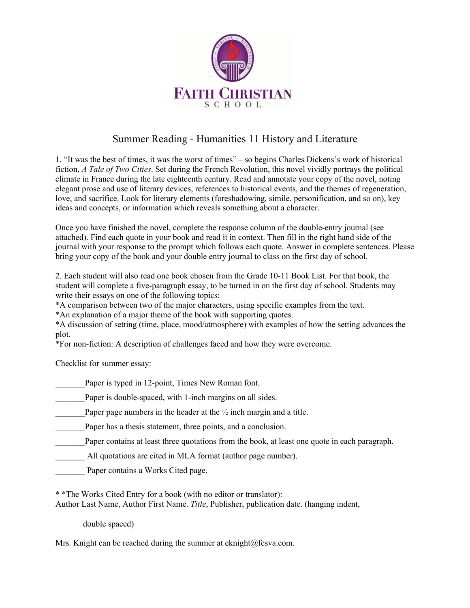

## Summer Reading - Humanities 11 History and Literature

1. "It was the best of times, it was the worst of times" – so begins Charles Dickens's work of historical fiction, *A Tale of Two Cities*. Set during the French Revolution, this novel vividly portrays the political climate in France during the late eighteenth century. Read and annotate your copy of the novel, noting elegant prose and use of literary devices, references to historical events, and the themes of regeneration, love, and sacrifice. Look for literary elements (foreshadowing, simile, personification, and so on), key ideas and concepts, or information which reveals something about a character.

Once you have finished the novel, complete the response column of the double-entry journal (see attached). Find each quote in your book and read it in context. Then fill in the right hand side of the journal with your response to the prompt which follows each quote. Answer in complete sentences. Please bring your copy of the book and your double entry journal to class on the first day of school.

2. Each student will also read one book chosen from the Grade 10-11 Book List. For that book, the student will complete a five-paragraph essay, to be turned in on the first day of school. Students may write their essays on one of the following topics:

\*A comparison between two of the major characters, using specific examples from the text.

\*An explanation of a major theme of the book with supporting quotes.

\*A discussion of setting (time, place, mood/atmosphere) with examples of how the setting advances the plot.

\*For non-fiction: A description of challenges faced and how they were overcome.

Checklist for summer essay:

Paper is typed in 12-point, Times New Roman font.

Paper is double-spaced, with 1-inch margins on all sides.

\_Paper page numbers in the header at the  $\frac{1}{2}$  inch margin and a title.

Paper has a thesis statement, three points, and a conclusion.

Paper contains at least three quotations from the book, at least one quote in each paragraph.

All quotations are cited in MLA format (author page number).

Paper contains a Works Cited page.

\* \*The Works Cited Entry for a book (with no editor or translator):

Author Last Name, Author First Name. *Title*, Publisher, publication date. (hanging indent,

double spaced)

Mrs. Knight can be reached during the summer at eknight@fcsva.com.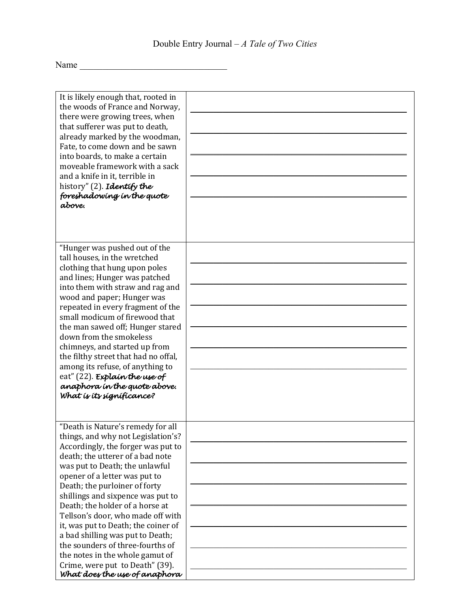$Name$   $\qquad$ 

| It is likely enough that, rooted in<br>the woods of France and Norway,<br>there were growing trees, when<br>that sufferer was put to death,<br>already marked by the woodman,<br>Fate, to come down and be sawn<br>into boards, to make a certain<br>moveable framework with a sack<br>and a knife in it, terrible in<br>history" (2). Identify the<br>foreshadowing in the quote<br>above.                                                                                                                           |  |
|-----------------------------------------------------------------------------------------------------------------------------------------------------------------------------------------------------------------------------------------------------------------------------------------------------------------------------------------------------------------------------------------------------------------------------------------------------------------------------------------------------------------------|--|
| "Hunger was pushed out of the<br>tall houses, in the wretched<br>clothing that hung upon poles<br>and lines; Hunger was patched<br>into them with straw and rag and<br>wood and paper; Hunger was<br>repeated in every fragment of the<br>small modicum of firewood that<br>the man sawed off; Hunger stared<br>down from the smokeless<br>chimneys, and started up from<br>the filthy street that had no offal,<br>among its refuse, of anything to<br>eat" (22). Explain the use of<br>anaphora in the quote above. |  |
| What is its significance?                                                                                                                                                                                                                                                                                                                                                                                                                                                                                             |  |
| "Death is Nature's remedy for all<br>things, and why not Legislation's?<br>Accordingly, the forger was put to<br>death; the utterer of a bad note<br>was put to Death; the unlawful<br>opener of a letter was put to<br>Death; the purloiner of forty<br>shillings and sixpence was put to<br>Death; the holder of a horse at<br>Tellson's door, who made off with<br>it, was put to Death; the coiner of                                                                                                             |  |
| a bad shilling was put to Death;<br>the sounders of three-fourths of<br>the notes in the whole gamut of<br>Crime, were put to Death" (39).<br>What does the use of anaphora                                                                                                                                                                                                                                                                                                                                           |  |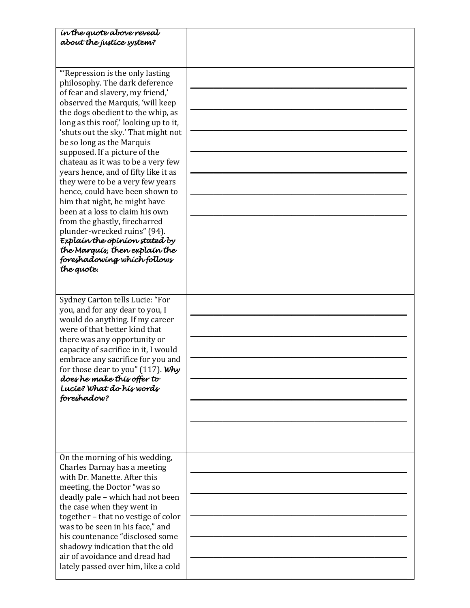| in the quote above reveal<br>about the justice system?                                                                                                                                                                                                                                                                                                                                                                                                                                                                                                                                                                                                                                                                                |  |
|---------------------------------------------------------------------------------------------------------------------------------------------------------------------------------------------------------------------------------------------------------------------------------------------------------------------------------------------------------------------------------------------------------------------------------------------------------------------------------------------------------------------------------------------------------------------------------------------------------------------------------------------------------------------------------------------------------------------------------------|--|
|                                                                                                                                                                                                                                                                                                                                                                                                                                                                                                                                                                                                                                                                                                                                       |  |
| "Repression is the only lasting<br>philosophy. The dark deference<br>of fear and slavery, my friend,'<br>observed the Marquis, 'will keep<br>the dogs obedient to the whip, as<br>long as this roof,' looking up to it,<br>'shuts out the sky.' That might not<br>be so long as the Marquis<br>supposed. If a picture of the<br>chateau as it was to be a very few<br>years hence, and of fifty like it as<br>they were to be a very few years<br>hence, could have been shown to<br>him that night, he might have<br>been at a loss to claim his own<br>from the ghastly, firecharred<br>plunder-wrecked ruins" (94).<br>Explain the opinion stated by<br>the Marquís, then explain the<br>foreshadowing which follows<br>the quote. |  |
| Sydney Carton tells Lucie: "For<br>you, and for any dear to you, I<br>would do anything. If my career<br>were of that better kind that<br>there was any opportunity or<br>capacity of sacrifice in it, I would<br>embrace any sacrifice for you and<br>for those dear to you" (117). Why<br>does he make this offer to<br>Lucie? What do his words<br>foreshadow?                                                                                                                                                                                                                                                                                                                                                                     |  |
| On the morning of his wedding,<br>Charles Darnay has a meeting<br>with Dr. Manette. After this<br>meeting, the Doctor "was so<br>deadly pale - which had not been<br>the case when they went in<br>together - that no vestige of color<br>was to be seen in his face," and<br>his countenance "disclosed some<br>shadowy indication that the old<br>air of avoidance and dread had<br>lately passed over him, like a cold                                                                                                                                                                                                                                                                                                             |  |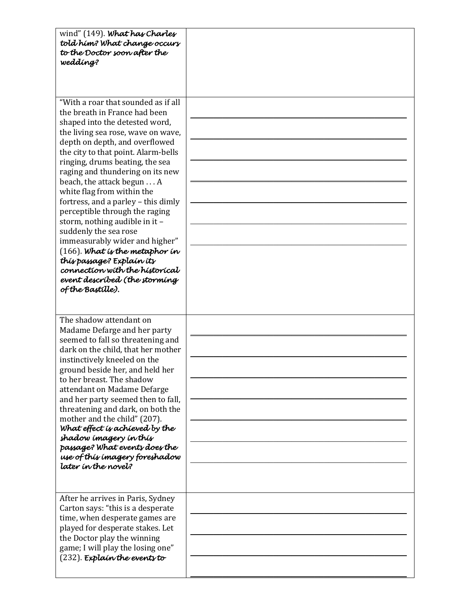| wind" (149). What has Charles<br>told him? What change occurs<br>to the Doctor soon after the<br>wedding?                                                                                                                                                                                                                                                                                                                                                                                                                                                                                                                                                                               |  |
|-----------------------------------------------------------------------------------------------------------------------------------------------------------------------------------------------------------------------------------------------------------------------------------------------------------------------------------------------------------------------------------------------------------------------------------------------------------------------------------------------------------------------------------------------------------------------------------------------------------------------------------------------------------------------------------------|--|
| "With a roar that sounded as if all<br>the breath in France had been<br>shaped into the detested word,<br>the living sea rose, wave on wave,<br>depth on depth, and overflowed<br>the city to that point. Alarm-bells<br>ringing, drums beating, the sea<br>raging and thundering on its new<br>beach, the attack begun A<br>white flag from within the<br>fortress, and a parley - this dimly<br>perceptible through the raging<br>storm, nothing audible in it -<br>suddenly the sea rose<br>immeasurably wider and higher"<br>$(166)$ . What is the metaphor in<br>this passage? Explain its<br>connection with the historical<br>event described (the storming<br>of the Bastille). |  |
| The shadow attendant on<br>Madame Defarge and her party<br>seemed to fall so threatening and<br>dark on the child, that her mother<br>instinctively kneeled on the<br>ground beside her, and held her<br>to her breast. The shadow<br>attendant on Madame Defarge<br>and her party seemed then to fall,<br>threatening and dark, on both the<br>mother and the child" (207).<br>What effect is achieved by the<br>shadow imagery in this<br>passage? What events does the<br>use of this imagery foreshadow<br>later in the novel?                                                                                                                                                      |  |
| After he arrives in Paris, Sydney<br>Carton says: "this is a desperate<br>time, when desperate games are<br>played for desperate stakes. Let<br>the Doctor play the winning<br>game; I will play the losing one"<br>$(232)$ . Explain the events to                                                                                                                                                                                                                                                                                                                                                                                                                                     |  |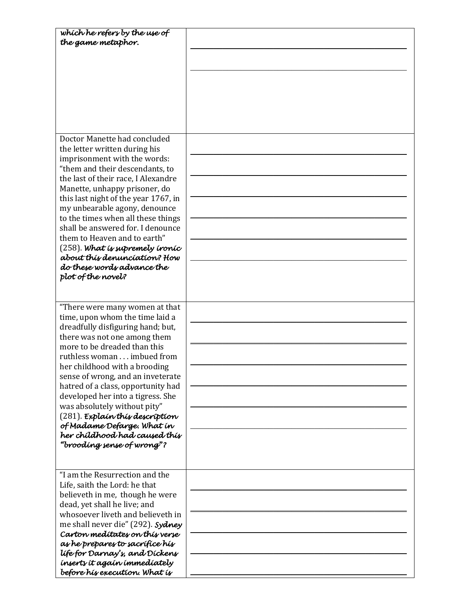| which he refers by the use of        |  |
|--------------------------------------|--|
| the game metaphor.                   |  |
|                                      |  |
|                                      |  |
|                                      |  |
|                                      |  |
|                                      |  |
|                                      |  |
|                                      |  |
|                                      |  |
|                                      |  |
|                                      |  |
|                                      |  |
| Doctor Manette had concluded         |  |
| the letter written during his        |  |
| imprisonment with the words:         |  |
| "them and their descendants, to      |  |
| the last of their race, I Alexandre  |  |
| Manette, unhappy prisoner, do        |  |
|                                      |  |
| this last night of the year 1767, in |  |
| my unbearable agony, denounce        |  |
| to the times when all these things   |  |
| shall be answered for. I denounce    |  |
| them to Heaven and to earth"         |  |
| $(258)$ . What is supremely ironic   |  |
| about this denunciation? How         |  |
| do these words advance the           |  |
|                                      |  |
| plot of the novel?                   |  |
|                                      |  |
|                                      |  |
| "There were many women at that       |  |
| time, upon whom the time laid a      |  |
|                                      |  |
| dreadfully disfiguring hand; but,    |  |
| there was not one among them         |  |
| more to be dreaded than this         |  |
| ruthless woman imbued from           |  |
| her childhood with a brooding        |  |
| sense of wrong, and an inveterate    |  |
| hatred of a class, opportunity had   |  |
|                                      |  |
| developed her into a tigress. She    |  |
| was absolutely without pity"         |  |
| $(281)$ . Explain this description   |  |
| of Madame Defarge. What in           |  |
| her chíldhood had caused thís        |  |
| "brooding sense of wrong"?           |  |
|                                      |  |
|                                      |  |
| "I am the Resurrection and the       |  |
|                                      |  |
| Life, saith the Lord: he that        |  |
| believeth in me, though he were      |  |
| dead, yet shall he live; and         |  |
| whosoever liveth and believeth in    |  |
| me shall never die" (292). Sydney    |  |
| Carton meditates on this verse       |  |
| as he prepares to sacrifice his      |  |
|                                      |  |
| life for Darnay's, and Dickens       |  |
| inserts it again immediately         |  |
| before hís execution. What is        |  |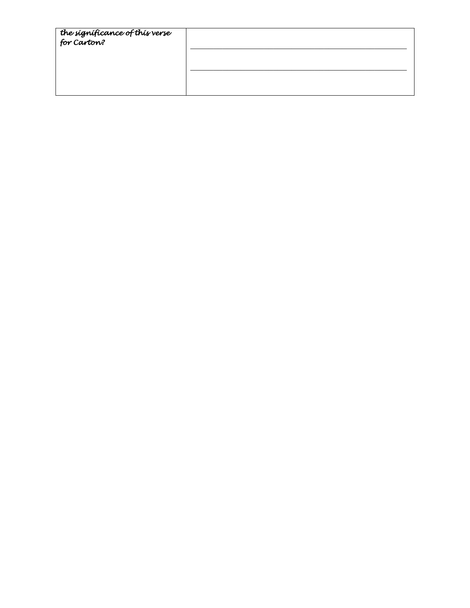| the significance of this verse<br>for Carton? |  |
|-----------------------------------------------|--|
|                                               |  |
|                                               |  |